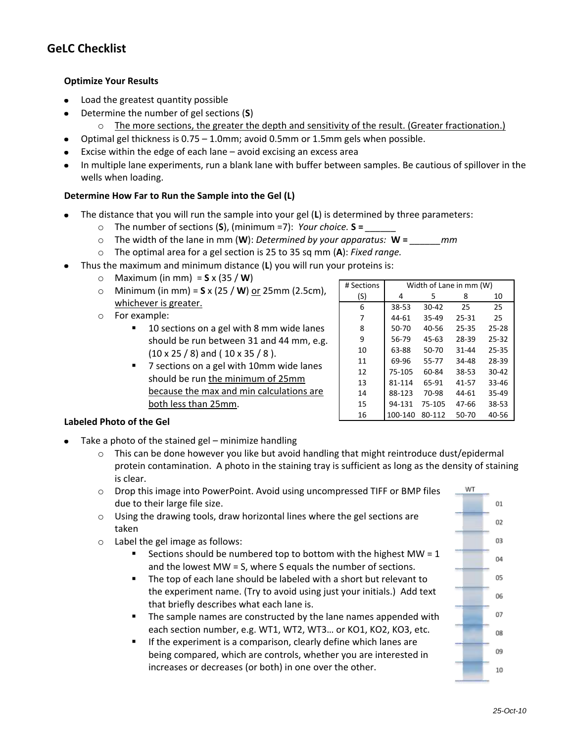# **GeLC Checklist**

#### **Optimize Your Results**

- Load the greatest quantity possible
- Determine the number of gel sections (**S**)  $\bullet$ 
	- $\circ$  The more sections, the greater the depth and sensitivity of the result. (Greater fractionation.)
- Optimal gel thickness is 0.75 1.0mm; avoid 0.5mm or 1.5mm gels when possible.  $\bullet$
- Excise within the edge of each lane avoid excising an excess area  $\bullet$
- In multiple lane experiments, run a blank lane with buffer between samples. Be cautious of spillover in the wells when loading.

#### **Determine How Far to Run the Sample into the Gel (L)**

- The distance that you will run the sample into your gel (**L**) is determined by three parameters:
	- o The number of sections (**S**), (minimum =7): *Your choice.* **S =** *\_\_\_\_\_\_*
	- o The width of the lane in mm (**W**): *Determined by your apparatus:* **W =** *\_\_\_\_\_\_mm*
	- o The optimal area for a gel section is 25 to 35 sq mm (**A**): *Fixed range.*
- Thus the maximum and minimum distance (**L**) you will run your proteins is:
	- o Maximum (in mm) = **S** x (35 / **W**)
	- o Minimum (in mm) = **S** x (25 / **W**) or 25mm (2.5cm), whichever is greater.
	- o For example:
		- 10 sections on a gel with 8 mm wide lanes should be run between 31 and 44 mm, e.g.  $(10 \times 25 / 8)$  and (  $10 \times 35 / 8$  ).
		- 7 sections on a gel with 10mm wide lanes should be run the minimum of 25mm because the max and min calculations are both less than 25mm.

| # Sections | Width of Lane in mm (W) |           |           |           |
|------------|-------------------------|-----------|-----------|-----------|
| (S)        | 4                       | 5         | 8         | 10        |
| 6          | 38-53                   | $30 - 42$ | 25        | 25        |
| 7          | 44-61                   | 35-49     | 25-31     | 25        |
| 8          | 50-70                   | $40 - 56$ | $25 - 35$ | $25 - 28$ |
| 9          | 56-79                   | 45-63     | 28-39     | $25 - 32$ |
| 10         | 63-88                   | $50-70$   | $31 - 44$ | $25 - 35$ |
| 11         | 69-96                   | 55-77     | 34-48     | 28-39     |
| 12         | 75-105                  | 60-84     | 38-53     | $30 - 42$ |
| 13         | 81-114                  | 65-91     | 41-57     | $33 - 46$ |
| 14         | 88-123                  | 70-98     | 44-61     | 35-49     |
| 15         | 94-131                  | 75-105    | 47-66     | 38-53     |
| 16         | 100-140                 | 80-112    | 50-70     | 40-56     |

#### **Labeled Photo of the Gel**

- Take a photo of the stained gel minimize handling
	- $\circ$  This can be done however you like but avoid handling that might reintroduce dust/epidermal protein contamination. A photo in the staining tray is sufficient as long as the density of staining is clear.
	- $\circ$  Drop this image into PowerPoint. Avoid using uncompressed TIFF or BMP files due to their large file size.
	- o Using the drawing tools, draw horizontal lines where the gel sections are taken
	- o Label the gel image as follows:
		- Sections should be numbered top to bottom with the highest MW = 1 and the lowest MW = S, where S equals the number of sections.
		- The top of each lane should be labeled with a short but relevant to the experiment name. (Try to avoid using just your initials.) Add text that briefly describes what each lane is.
		- **The sample names are constructed by the lane names appended with** each section number, e.g. WT1, WT2, WT3… or KO1, KO2, KO3, etc.
		- $\blacksquare$  If the experiment is a comparison, clearly define which lanes are being compared, which are controls, whether you are interested in increases or decreases (or both) in one over the other.

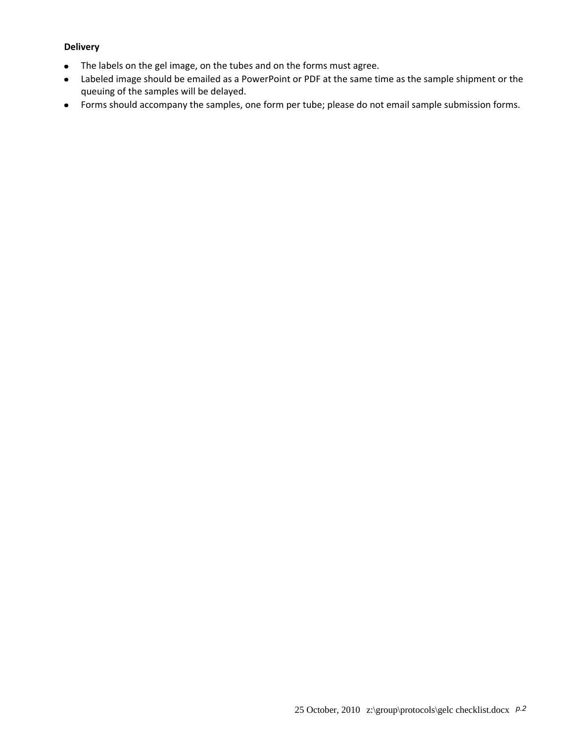#### **Delivery**

- The labels on the gel image, on the tubes and on the forms must agree.  $\bullet$
- Labeled image should be emailed as a PowerPoint or PDF at the same time as the sample shipment or the  $\bullet$ queuing of the samples will be delayed.
- Forms should accompany the samples, one form per tube; please do not email sample submission forms.